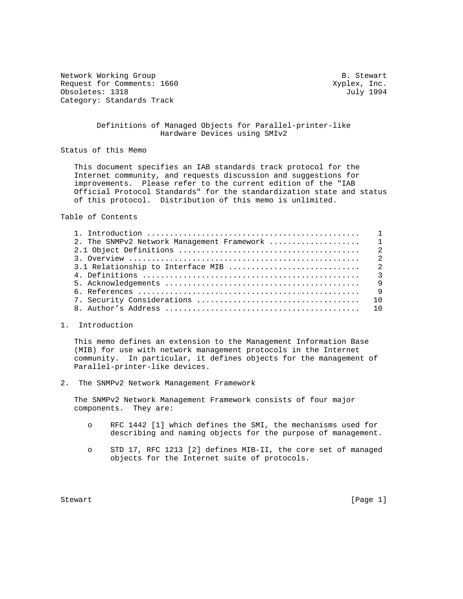Network Working Group and the set of the set of the set of the Stewart B. Stewart Request for Comments: 1660 Xyplex, Inc. Obsoletes: 1318 July 1994 Category: Standards Track

# Definitions of Managed Objects for Parallel-printer-like Hardware Devices using SMIv2

Status of this Memo

 This document specifies an IAB standards track protocol for the Internet community, and requests discussion and suggestions for improvements. Please refer to the current edition of the "IAB Official Protocol Standards" for the standardization state and status of this protocol. Distribution of this memo is unlimited.

Table of Contents

# 1. Introduction

 This memo defines an extension to the Management Information Base (MIB) for use with network management protocols in the Internet community. In particular, it defines objects for the management of Parallel-printer-like devices.

2. The SNMPv2 Network Management Framework

 The SNMPv2 Network Management Framework consists of four major components. They are:

- o RFC 1442 [1] which defines the SMI, the mechanisms used for describing and naming objects for the purpose of management.
- o STD 17, RFC 1213 [2] defines MIB-II, the core set of managed objects for the Internet suite of protocols.

Stewart [Page 1]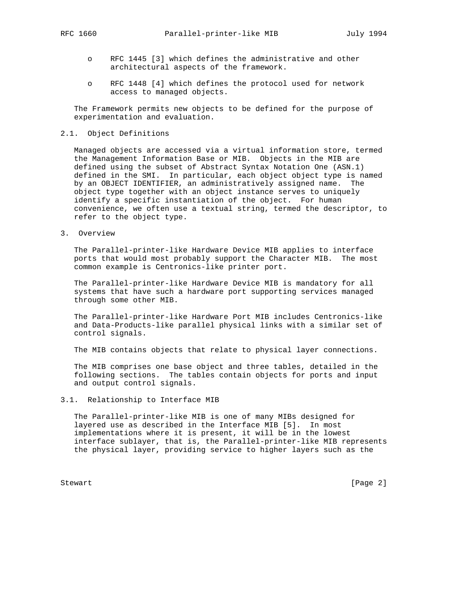- o RFC 1445 [3] which defines the administrative and other architectural aspects of the framework.
- o RFC 1448 [4] which defines the protocol used for network access to managed objects.

 The Framework permits new objects to be defined for the purpose of experimentation and evaluation.

# 2.1. Object Definitions

 Managed objects are accessed via a virtual information store, termed the Management Information Base or MIB. Objects in the MIB are defined using the subset of Abstract Syntax Notation One (ASN.1) defined in the SMI. In particular, each object object type is named by an OBJECT IDENTIFIER, an administratively assigned name. The object type together with an object instance serves to uniquely identify a specific instantiation of the object. For human convenience, we often use a textual string, termed the descriptor, to refer to the object type.

3. Overview

 The Parallel-printer-like Hardware Device MIB applies to interface ports that would most probably support the Character MIB. The most common example is Centronics-like printer port.

 The Parallel-printer-like Hardware Device MIB is mandatory for all systems that have such a hardware port supporting services managed through some other MIB.

 The Parallel-printer-like Hardware Port MIB includes Centronics-like and Data-Products-like parallel physical links with a similar set of control signals.

The MIB contains objects that relate to physical layer connections.

 The MIB comprises one base object and three tables, detailed in the following sections. The tables contain objects for ports and input and output control signals.

# 3.1. Relationship to Interface MIB

 The Parallel-printer-like MIB is one of many MIBs designed for layered use as described in the Interface MIB [5]. In most implementations where it is present, it will be in the lowest interface sublayer, that is, the Parallel-printer-like MIB represents the physical layer, providing service to higher layers such as the

Stewart [Page 2]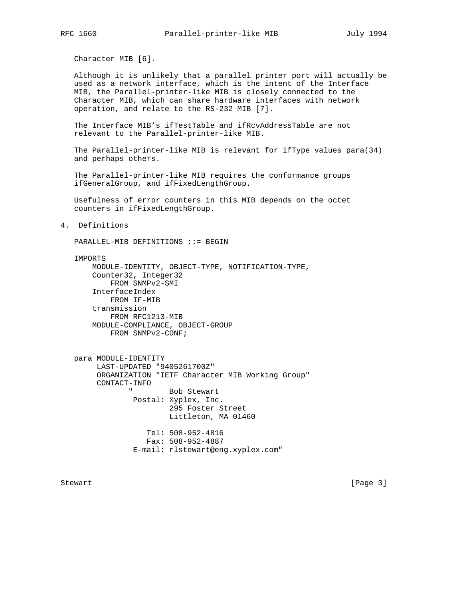Character MIB [6].

 Although it is unlikely that a parallel printer port will actually be used as a network interface, which is the intent of the Interface MIB, the Parallel-printer-like MIB is closely connected to the Character MIB, which can share hardware interfaces with network operation, and relate to the RS-232 MIB [7].

 The Interface MIB's ifTestTable and ifRcvAddressTable are not relevant to the Parallel-printer-like MIB.

 The Parallel-printer-like MIB is relevant for ifType values para(34) and perhaps others.

 The Parallel-printer-like MIB requires the conformance groups ifGeneralGroup, and ifFixedLengthGroup.

 Usefulness of error counters in this MIB depends on the octet counters in ifFixedLengthGroup.

4. Definitions

PARALLEL-MIB DEFINITIONS ::= BEGIN

#### IMPORTS

 MODULE-IDENTITY, OBJECT-TYPE, NOTIFICATION-TYPE, Counter32, Integer32 FROM SNMPv2-SMI InterfaceIndex FROM IF-MIB transmission FROM RFC1213-MIB MODULE-COMPLIANCE, OBJECT-GROUP FROM SNMPv2-CONF;

 para MODULE-IDENTITY LAST-UPDATED "9405261700Z" ORGANIZATION "IETF Character MIB Working Group" CONTACT-INFO Bob Stewart Postal: Xyplex, Inc. 295 Foster Street Littleton, MA 01460 Tel: 508-952-4816 Fax: 508-952-4887 E-mail: rlstewart@eng.xyplex.com"

Stewart [Page 3]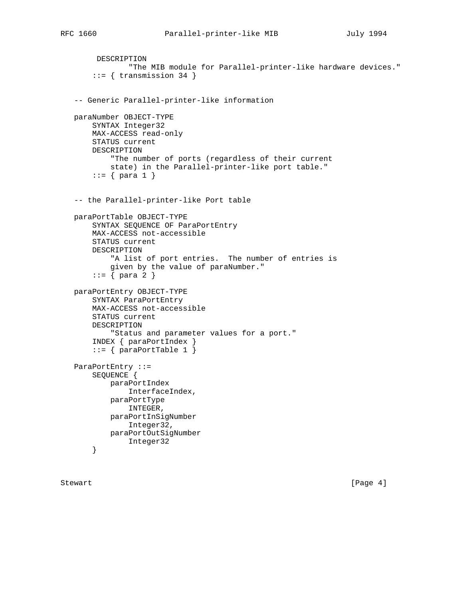```
 DESCRIPTION
             "The MIB module for Parallel-printer-like hardware devices."
    ::= { transmission 34 }
 -- Generic Parallel-printer-like information
 paraNumber OBJECT-TYPE
     SYNTAX Integer32
     MAX-ACCESS read-only
     STATUS current
     DESCRIPTION
         "The number of ports (regardless of their current
         state) in the Parallel-printer-like port table."
    ::= \{ para 1 \} -- the Parallel-printer-like Port table
 paraPortTable OBJECT-TYPE
     SYNTAX SEQUENCE OF ParaPortEntry
     MAX-ACCESS not-accessible
     STATUS current
     DESCRIPTION
         "A list of port entries. The number of entries is
         given by the value of paraNumber."
    ::= { para 2 }
 paraPortEntry OBJECT-TYPE
     SYNTAX ParaPortEntry
     MAX-ACCESS not-accessible
     STATUS current
     DESCRIPTION
         "Status and parameter values for a port."
     INDEX { paraPortIndex }
    ::= { paraPortTable 1 }
 ParaPortEntry ::=
     SEQUENCE {
         paraPortIndex
             InterfaceIndex,
         paraPortType
             INTEGER,
         paraPortInSigNumber
             Integer32,
         paraPortOutSigNumber
             Integer32
     }
```
Stewart [Page 4]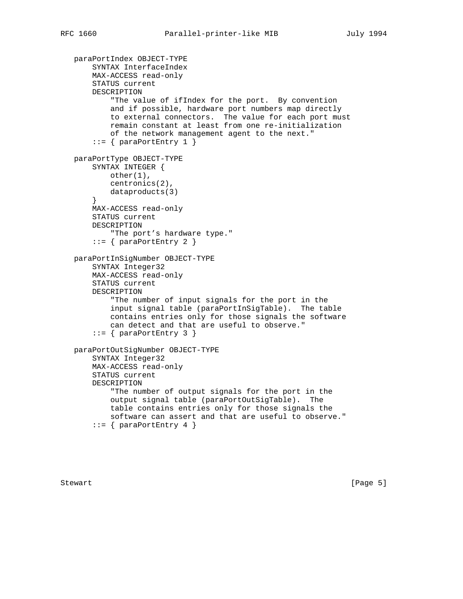```
 paraPortIndex OBJECT-TYPE
     SYNTAX InterfaceIndex
     MAX-ACCESS read-only
     STATUS current
     DESCRIPTION
         "The value of ifIndex for the port. By convention
         and if possible, hardware port numbers map directly
         to external connectors. The value for each port must
         remain constant at least from one re-initialization
         of the network management agent to the next."
    ::= \{ \text{paraportEntry 1 } \} paraPortType OBJECT-TYPE
    SYNTAX INTEGER {
         other(1),
         centronics(2),
         dataproducts(3)
     }
     MAX-ACCESS read-only
     STATUS current
     DESCRIPTION
         "The port's hardware type."
     ::= { paraPortEntry 2 }
 paraPortInSigNumber OBJECT-TYPE
     SYNTAX Integer32
     MAX-ACCESS read-only
     STATUS current
     DESCRIPTION
         "The number of input signals for the port in the
         input signal table (paraPortInSigTable). The table
         contains entries only for those signals the software
         can detect and that are useful to observe."
    ::= { paraPortEntry 3 }
 paraPortOutSigNumber OBJECT-TYPE
     SYNTAX Integer32
     MAX-ACCESS read-only
     STATUS current
     DESCRIPTION
         "The number of output signals for the port in the
         output signal table (paraPortOutSigTable). The
         table contains entries only for those signals the
         software can assert and that are useful to observe."
    ::= { paraPortEntry 4 }
```
Stewart [Page 5]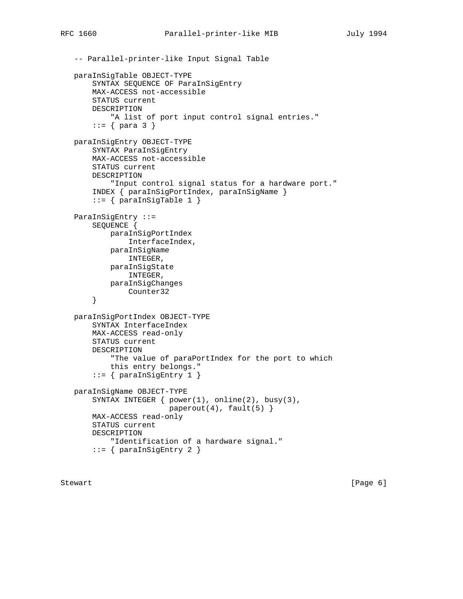```
 -- Parallel-printer-like Input Signal Table
 paraInSigTable OBJECT-TYPE
     SYNTAX SEQUENCE OF ParaInSigEntry
     MAX-ACCESS not-accessible
     STATUS current
     DESCRIPTION
         "A list of port input control signal entries."
    ::= \{ para 3 \} paraInSigEntry OBJECT-TYPE
     SYNTAX ParaInSigEntry
     MAX-ACCESS not-accessible
     STATUS current
     DESCRIPTION
         "Input control signal status for a hardware port."
     INDEX { paraInSigPortIndex, paraInSigName }
    ::= { paraInSigTable 1 }
 ParaInSigEntry ::=
     SEQUENCE {
         paraInSigPortIndex
             InterfaceIndex,
         paraInSigName
             INTEGER,
         paraInSigState
             INTEGER,
         paraInSigChanges
             Counter32
     }
 paraInSigPortIndex OBJECT-TYPE
     SYNTAX InterfaceIndex
     MAX-ACCESS read-only
     STATUS current
     DESCRIPTION
         "The value of paraPortIndex for the port to which
         this entry belongs."
     ::= { paraInSigEntry 1 }
 paraInSigName OBJECT-TYPE
     SYNTAX INTEGER { power(1), online(2), busy(3),
                     paperout(4), fault(5) }
     MAX-ACCESS read-only
     STATUS current
     DESCRIPTION
         "Identification of a hardware signal."
     ::= { paraInSigEntry 2 }
```
Stewart [Page 6] [Page 6] [Page 6] [Page 6] [Page 6] [Page 6] [Page 6] [Page 6] [Page 6] [Page 6] [Page 6] [Page 6] [Page 6] [Page 6] [Page 6] [Page 6] [Page 6] [Page 6] [Page 6] [Page 6] [Page 6] [Page 6] [Page 6] [Page 6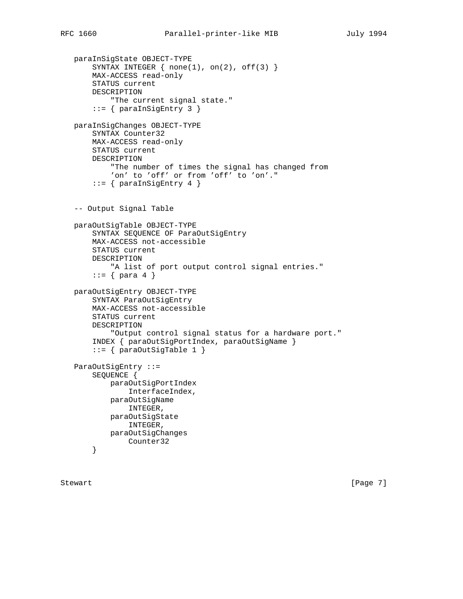```
 paraInSigState OBJECT-TYPE
    SYNTAX INTEGER \{ none(1), on(2), off(3) \} MAX-ACCESS read-only
     STATUS current
     DESCRIPTION
         "The current signal state."
     ::= { paraInSigEntry 3 }
 paraInSigChanges OBJECT-TYPE
     SYNTAX Counter32
     MAX-ACCESS read-only
     STATUS current
     DESCRIPTION
         "The number of times the signal has changed from
         'on' to 'off' or from 'off' to 'on'."
    ::= { paraInSigEntry 4 }
 -- Output Signal Table
 paraOutSigTable OBJECT-TYPE
     SYNTAX SEQUENCE OF ParaOutSigEntry
     MAX-ACCESS not-accessible
     STATUS current
     DESCRIPTION
         "A list of port output control signal entries."
    ::= \{ para 4 \} paraOutSigEntry OBJECT-TYPE
     SYNTAX ParaOutSigEntry
     MAX-ACCESS not-accessible
     STATUS current
     DESCRIPTION
         "Output control signal status for a hardware port."
     INDEX { paraOutSigPortIndex, paraOutSigName }
    ::= { paraOutSigTable 1 }
 ParaOutSigEntry ::=
     SEQUENCE {
         paraOutSigPortIndex
             InterfaceIndex,
         paraOutSigName
             INTEGER,
         paraOutSigState
             INTEGER,
         paraOutSigChanges
             Counter32
     }
```
Stewart [Page 7]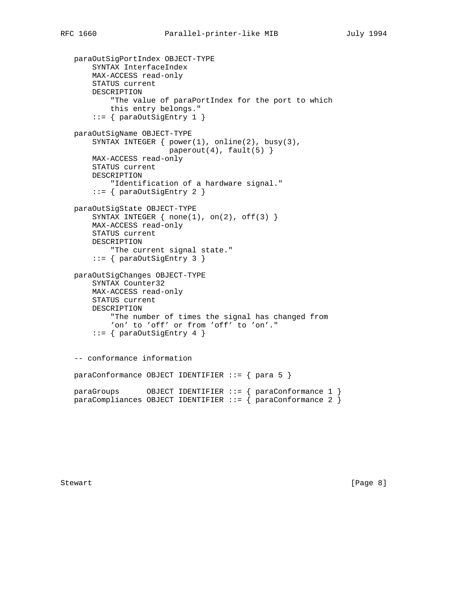```
 paraOutSigPortIndex OBJECT-TYPE
     SYNTAX InterfaceIndex
     MAX-ACCESS read-only
     STATUS current
     DESCRIPTION
         "The value of paraPortIndex for the port to which
         this entry belongs."
    ::= { paraOutSigEntry 1 }
 paraOutSigName OBJECT-TYPE
     SYNTAX INTEGER { power(1), online(2), busy(3),
                     paperout(4), fault(5) }
     MAX-ACCESS read-only
     STATUS current
     DESCRIPTION
        "Identification of a hardware signal."
     ::= { paraOutSigEntry 2 }
 paraOutSigState OBJECT-TYPE
    SYNTAX INTEGER \{ none(1), on(2), off(3) \} MAX-ACCESS read-only
     STATUS current
     DESCRIPTION
         "The current signal state."
     ::= { paraOutSigEntry 3 }
 paraOutSigChanges OBJECT-TYPE
     SYNTAX Counter32
     MAX-ACCESS read-only
     STATUS current
     DESCRIPTION
         "The number of times the signal has changed from
         'on' to 'off' or from 'off' to 'on'."
     ::= { paraOutSigEntry 4 }
 -- conformance information
 paraConformance OBJECT IDENTIFIER ::= { para 5 }
 paraGroups OBJECT IDENTIFIER ::= { paraConformance 1 }
paraCompliances OBJECT IDENTIFIER ::= { paraConformance 2 }
```
Stewart [Page 8]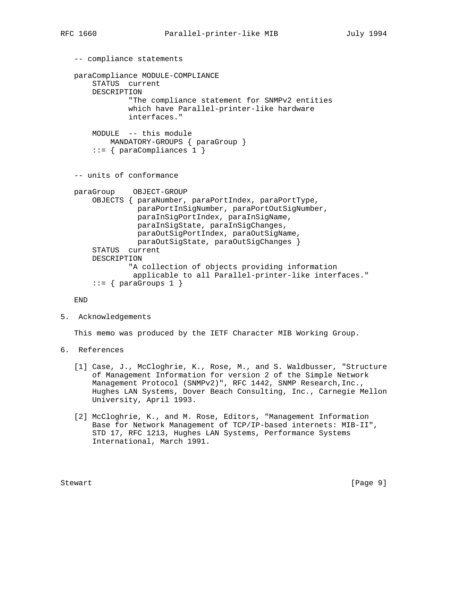```
 -- compliance statements
 paraCompliance MODULE-COMPLIANCE
     STATUS current
     DESCRIPTION
              "The compliance statement for SNMPv2 entities
              which have Parallel-printer-like hardware
              interfaces."
     MODULE -- this module
         MANDATORY-GROUPS { paraGroup }
     ::= { paraCompliances 1 }
 -- units of conformance
 paraGroup OBJECT-GROUP
     OBJECTS { paraNumber, paraPortIndex, paraPortType,
               paraPortInSigNumber, paraPortOutSigNumber,
               paraInSigPortIndex, paraInSigName,
               paraInSigState, paraInSigChanges,
               paraOutSigPortIndex, paraOutSigName,
               paraOutSigState, paraOutSigChanges }
     STATUS current
     DESCRIPTION
              "A collection of objects providing information
               applicable to all Parallel-printer-like interfaces."
    ::= \{ \text{paraGroups} \quad 1 \}
```
END

5. Acknowledgements

This memo was produced by the IETF Character MIB Working Group.

- 6. References
	- [1] Case, J., McCloghrie, K., Rose, M., and S. Waldbusser, "Structure of Management Information for version 2 of the Simple Network Management Protocol (SNMPv2)", RFC 1442, SNMP Research, Inc., Hughes LAN Systems, Dover Beach Consulting, Inc., Carnegie Mellon University, April 1993.
	- [2] McCloghrie, K., and M. Rose, Editors, "Management Information Base for Network Management of TCP/IP-based internets: MIB-II", STD 17, RFC 1213, Hughes LAN Systems, Performance Systems International, March 1991.

Stewart [Page 9]